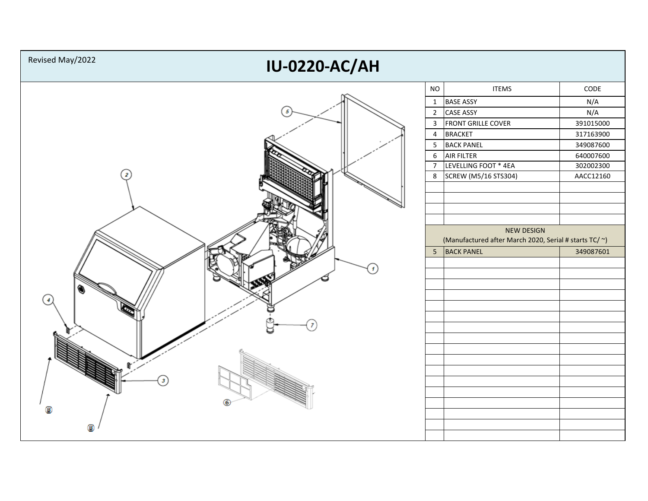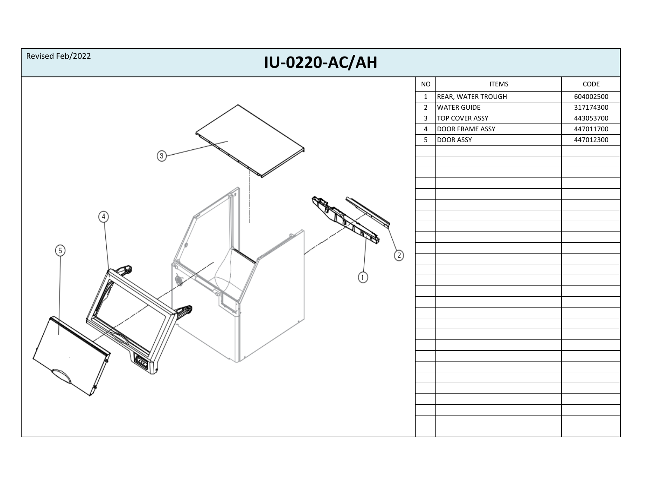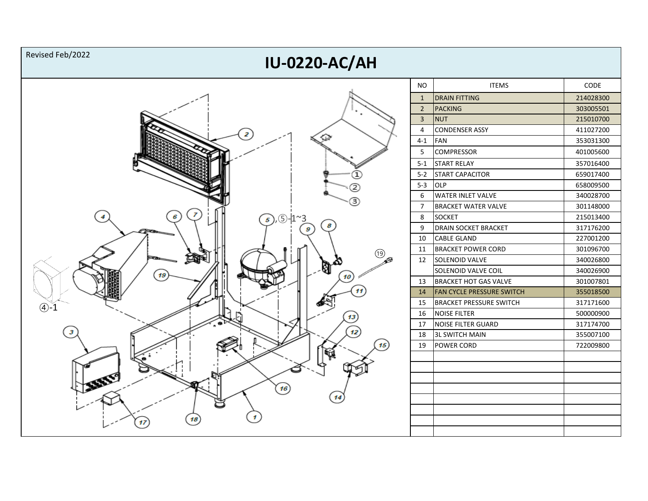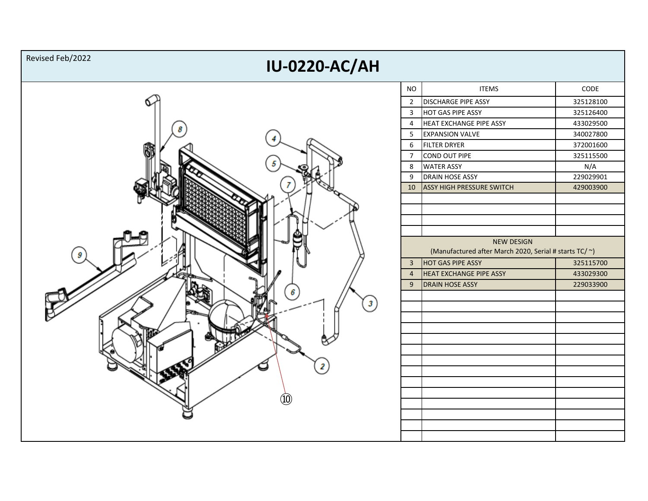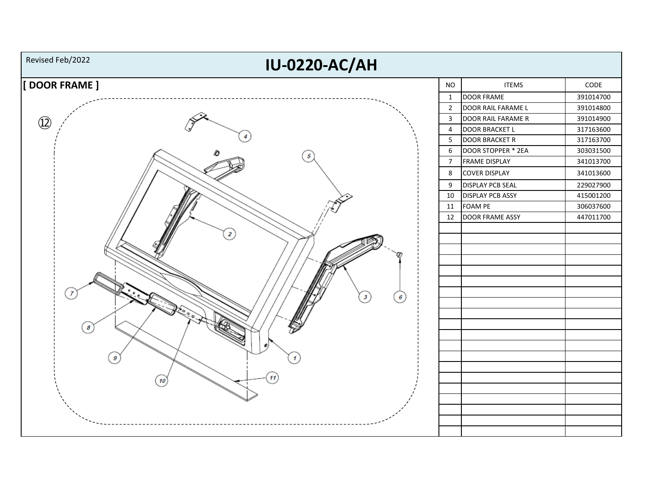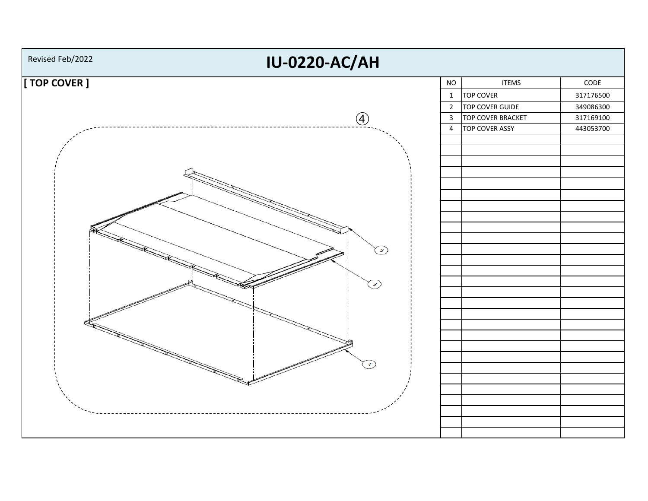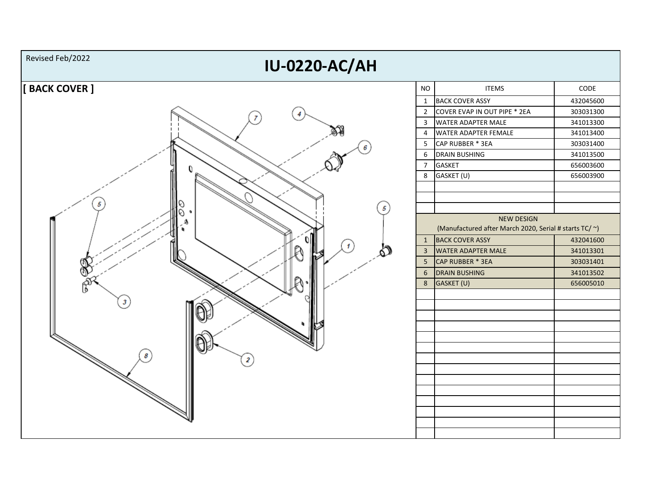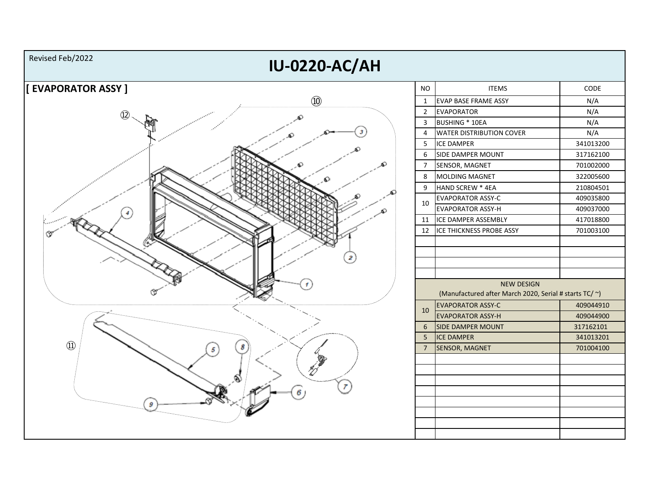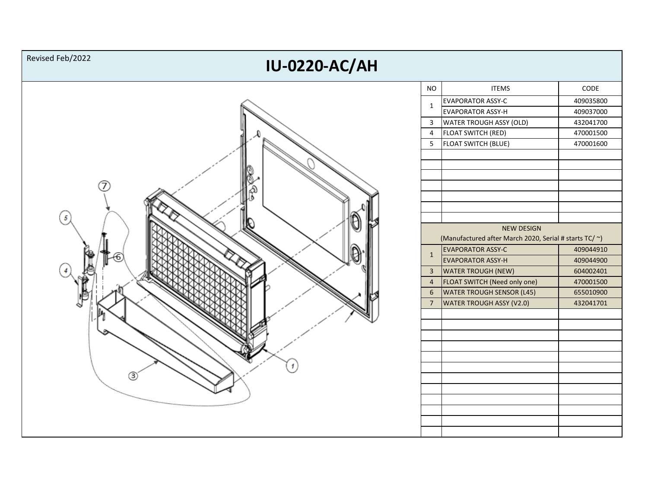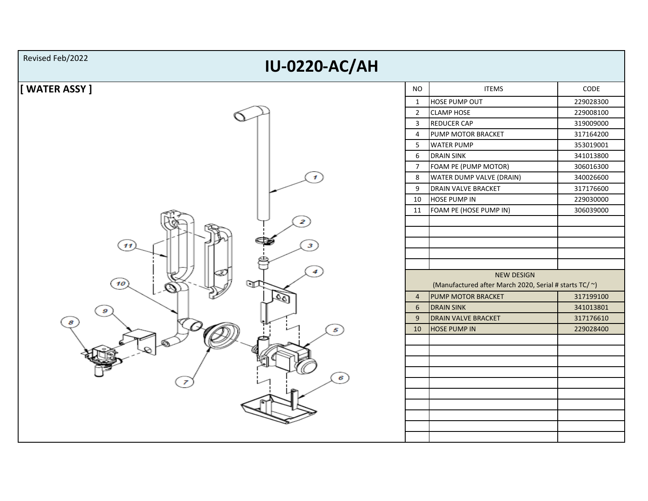